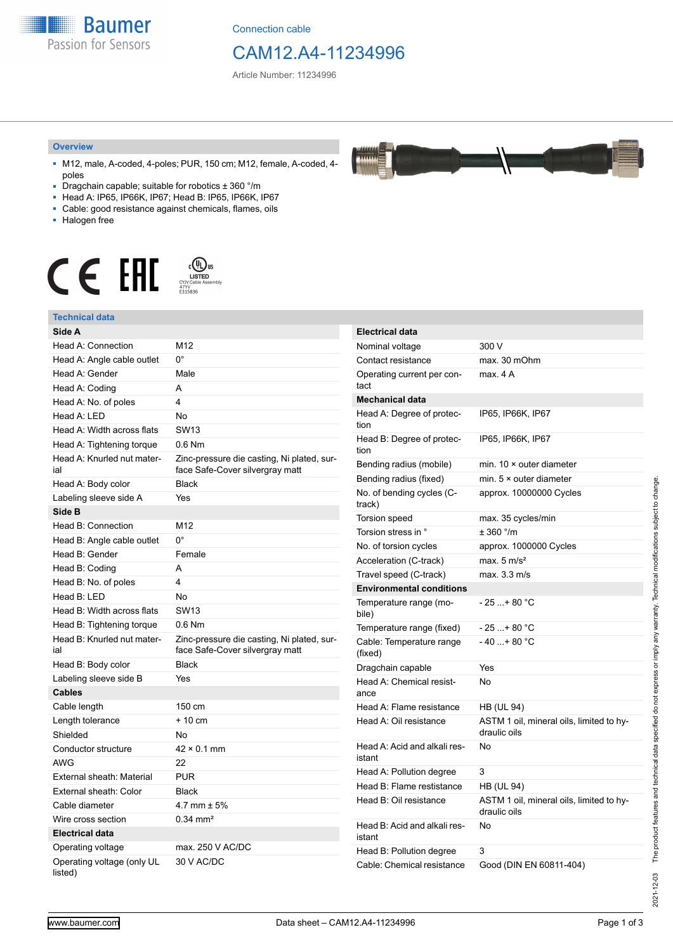**Baumer** Passion for Sensors

Connection cable

# CAM12.A4-11234996

Article Number: 11234996

#### **Overview**

- M12, male, A-coded, 4-poles; PUR, 150 cm; M12, female, A-coded, 4 poles
- Dragchain capable; suitable for robotics ± 360 °/m
- Head A: IP65, IP66K, IP67; Head B: IP65, IP66K, IP67
- Cable: good resistance against chemicals, flames, oils
- Halogen free



### **Technical data**

| нослинсан чака                        |                                                                               |                                                       |                                                          |
|---------------------------------------|-------------------------------------------------------------------------------|-------------------------------------------------------|----------------------------------------------------------|
| Side A                                |                                                                               | <b>Electrical data</b>                                |                                                          |
| Head A: Connection                    | M12                                                                           | Nominal voltage                                       | 300 V                                                    |
| Head A: Angle cable outlet            | 0°                                                                            | Contact resistance                                    | max. 30 mOhm                                             |
| Head A: Gender                        | Male                                                                          | Operating current per con-                            | max. 4 A                                                 |
| Head A: Coding                        | Α                                                                             | tact                                                  |                                                          |
| Head A: No. of poles                  | 4                                                                             | <b>Mechanical data</b>                                |                                                          |
| Head A: LED                           | <b>No</b>                                                                     | Head A: Degree of protec-                             | IP65, IP66K, IP67                                        |
| Head A: Width across flats            | <b>SW13</b>                                                                   | tion                                                  |                                                          |
| Head A: Tightening torque             | $0.6$ Nm                                                                      | Head B: Degree of protec-<br>tion                     | IP65, IP66K, IP67                                        |
| Head A: Knurled nut mater-<br>ial     | Zinc-pressure die casting, Ni plated, sur-<br>face Safe-Cover silvergray matt | Bending radius (mobile)                               | min. $10 \times$ outer diameter                          |
| Head A: Body color                    | <b>Black</b>                                                                  | Bending radius (fixed)                                | min. $5 \times$ outer diameter                           |
| Labeling sleeve side A                | Yes                                                                           | No. of bending cycles (C-<br>track)                   | approx. 10000000 Cycles                                  |
| Side B                                |                                                                               | <b>Torsion speed</b>                                  | max. 35 cycles/min                                       |
| Head B: Connection                    | M12                                                                           | Torsion stress in °                                   | $± 360$ °/m                                              |
| Head B: Angle cable outlet            | $0^{\circ}$                                                                   | No. of torsion cycles                                 | approx. 1000000 Cycles                                   |
| Head B: Gender                        | Female                                                                        | Acceleration (C-track)                                | max. $5 \text{ m/s}^2$                                   |
| Head B: Coding                        | A                                                                             | Travel speed (C-track)                                | max. 3.3 m/s                                             |
| Head B: No. of poles                  | $\overline{4}$                                                                | <b>Environmental conditions</b>                       |                                                          |
| Head B: LED                           | No                                                                            | Temperature range (mo-                                | $-25$ + 80 °C                                            |
| Head B: Width across flats            | <b>SW13</b>                                                                   | bile)                                                 |                                                          |
| Head B: Tightening torque             | 0.6 Nm                                                                        | Temperature range (fixed)                             | $-25+80 °C$                                              |
| Head B: Knurled nut mater-<br>ial     | Zinc-pressure die casting, Ni plated, sur-<br>face Safe-Cover silvergray matt | Cable: Temperature range<br>(fixed)                   | $-40+80 °C$                                              |
| Head B: Body color                    | <b>Black</b>                                                                  | Dragchain capable                                     | Yes                                                      |
| Labeling sleeve side B                | Yes                                                                           | Head A: Chemical resist-<br>ance                      | No                                                       |
| <b>Cables</b>                         |                                                                               |                                                       |                                                          |
| Cable length                          | 150 cm                                                                        | Head A: Flame resistance                              | <b>HB (UL 94)</b>                                        |
| Length tolerance                      | $+10$ cm                                                                      | Head A: Oil resistance                                | ASTM 1 oil, mineral oils, limited to hy-<br>draulic oils |
| Shielded                              | <b>No</b>                                                                     |                                                       |                                                          |
| Conductor structure                   | $42 \times 0.1$ mm                                                            | Head A: Acid and alkali res-                          | No                                                       |
| <b>AWG</b>                            | 22                                                                            | istant                                                | 3                                                        |
| External sheath: Material             | <b>PUR</b>                                                                    | Head A: Pollution degree<br>Head B: Flame restistance |                                                          |
| External sheath: Color                | <b>Black</b>                                                                  |                                                       | <b>HB (UL 94)</b>                                        |
| Cable diameter                        | 4.7 mm $\pm$ 5%                                                               | Head B: Oil resistance                                | ASTM 1 oil, mineral oils, limited to hy-<br>draulic oils |
| Wire cross section                    | $0.34$ mm <sup>2</sup>                                                        | Head B: Acid and alkali res-                          | No                                                       |
| <b>Electrical data</b>                |                                                                               | istant                                                |                                                          |
| Operating voltage                     | max. 250 V AC/DC                                                              | Head B: Pollution degree                              | 3                                                        |
| Operating voltage (only UL<br>listed) | 30 V AC/DC                                                                    | Cable: Chemical resistance                            | Good (DIN EN 60811-404)                                  |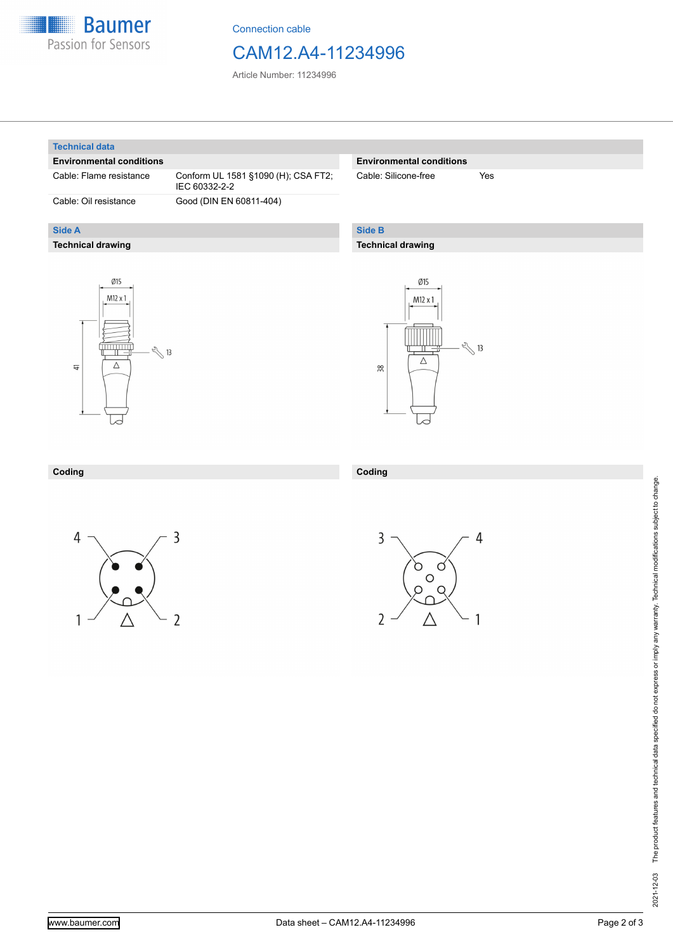

Connection cable

## CAM12.A4-11234996

Article Number: 11234996

#### **Technical data**

**Side A**

#### **Environmental conditions**

**Technical drawing**

Cable: Flame resistance Conform UL 1581 §1090 (H); CSA FT2; IEC 60332-2-2 Cable: Oil resistance Good (DIN EN 60811-404)

#### **Environmental conditions**

Cable: Silicone-free Yes

### **Side B**

**Coding**

#### **Technical drawing**





#### **Coding**